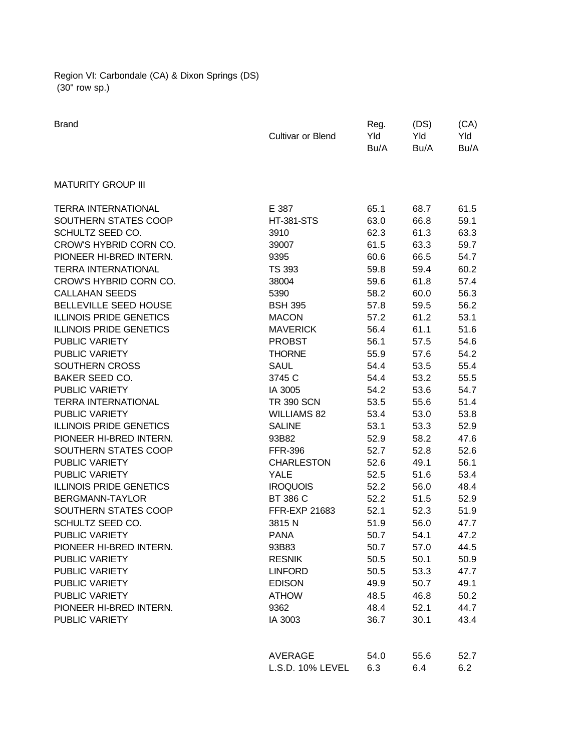Region VI: Carbondale (CA) & Dixon Springs (DS) (30" row sp.)

| <b>Brand</b>                   | Cultivar or Blend  | Reg.<br>Yld<br>Bu/A | (DS)<br>Yld<br>Bu/A | (CA)<br>Yld<br>Bu/A |
|--------------------------------|--------------------|---------------------|---------------------|---------------------|
| <b>MATURITY GROUP III</b>      |                    |                     |                     |                     |
| <b>TERRA INTERNATIONAL</b>     | E 387              | 65.1                | 68.7                | 61.5                |
| SOUTHERN STATES COOP           | <b>HT-381-STS</b>  | 63.0                | 66.8                | 59.1                |
| SCHULTZ SEED CO.               | 3910               | 62.3                | 61.3                | 63.3                |
| CROW'S HYBRID CORN CO.         | 39007              | 61.5                | 63.3                | 59.7                |
| PIONEER HI-BRED INTERN.        | 9395               | 60.6                | 66.5                | 54.7                |
| <b>TERRA INTERNATIONAL</b>     | <b>TS 393</b>      | 59.8                | 59.4                | 60.2                |
| CROW'S HYBRID CORN CO.         | 38004              | 59.6                | 61.8                | 57.4                |
| <b>CALLAHAN SEEDS</b>          | 5390               | 58.2                | 60.0                | 56.3                |
| <b>BELLEVILLE SEED HOUSE</b>   | <b>BSH 395</b>     | 57.8                | 59.5                | 56.2                |
| <b>ILLINOIS PRIDE GENETICS</b> | <b>MACON</b>       | 57.2                | 61.2                | 53.1                |
| <b>ILLINOIS PRIDE GENETICS</b> | <b>MAVERICK</b>    | 56.4                | 61.1                | 51.6                |
| <b>PUBLIC VARIETY</b>          | <b>PROBST</b>      | 56.1                | 57.5                | 54.6                |
| <b>PUBLIC VARIETY</b>          | <b>THORNE</b>      | 55.9                | 57.6                | 54.2                |
| SOUTHERN CROSS                 | <b>SAUL</b>        | 54.4                | 53.5                | 55.4                |
| <b>BAKER SEED CO.</b>          | 3745 C             | 54.4                | 53.2                | 55.5                |
| PUBLIC VARIETY                 | IA 3005            | 54.2                | 53.6                | 54.7                |
| <b>TERRA INTERNATIONAL</b>     | <b>TR 390 SCN</b>  | 53.5                | 55.6                | 51.4                |
| <b>PUBLIC VARIETY</b>          | <b>WILLIAMS 82</b> | 53.4                | 53.0                | 53.8                |
| <b>ILLINOIS PRIDE GENETICS</b> | <b>SALINE</b>      | 53.1                | 53.3                | 52.9                |
| PIONEER HI-BRED INTERN.        | 93B82              | 52.9                | 58.2                | 47.6                |
| SOUTHERN STATES COOP           | <b>FFR-396</b>     | 52.7                | 52.8                | 52.6                |
| <b>PUBLIC VARIETY</b>          | <b>CHARLESTON</b>  | 52.6                | 49.1                | 56.1                |
| <b>PUBLIC VARIETY</b>          | <b>YALE</b>        | 52.5                | 51.6                | 53.4                |
| <b>ILLINOIS PRIDE GENETICS</b> | <b>IROQUOIS</b>    | 52.2                | 56.0                | 48.4                |
| BERGMANN-TAYLOR                | BT 386 C           | 52.2                | 51.5                | 52.9                |
| SOUTHERN STATES COOP           | FFR-EXP 21683      | 52.1                | 52.3                | 51.9                |
| SCHULTZ SEED CO.               | 3815N              | 51.9                | 56.0                | 47.7                |
| <b>PUBLIC VARIETY</b>          | <b>PANA</b>        | 50.7                | 54.1                | 47.2                |
| PIONEER HI-BRED INTERN.        | 93B83              | 50.7                | 57.0                | 44.5                |
| PUBLIC VARIETY                 | <b>RESNIK</b>      | 50.5                | 50.1                | 50.9                |
| <b>PUBLIC VARIETY</b>          | <b>LINFORD</b>     | 50.5                | 53.3                | 47.7                |
| PUBLIC VARIETY                 | <b>EDISON</b>      | 49.9                | 50.7                | 49.1                |
| PUBLIC VARIETY                 | <b>ATHOW</b>       | 48.5                | 46.8                | 50.2                |
| PIONEER HI-BRED INTERN.        | 9362               | 48.4                | 52.1                | 44.7                |
| PUBLIC VARIETY                 | IA 3003            | 36.7                | 30.1                | 43.4                |
|                                |                    |                     |                     |                     |
|                                | AVERAGE            | 54.0                | 55.6                | 52.7                |
|                                | L.S.D. 10% LEVEL   | 6.3                 | 6.4                 | 6.2                 |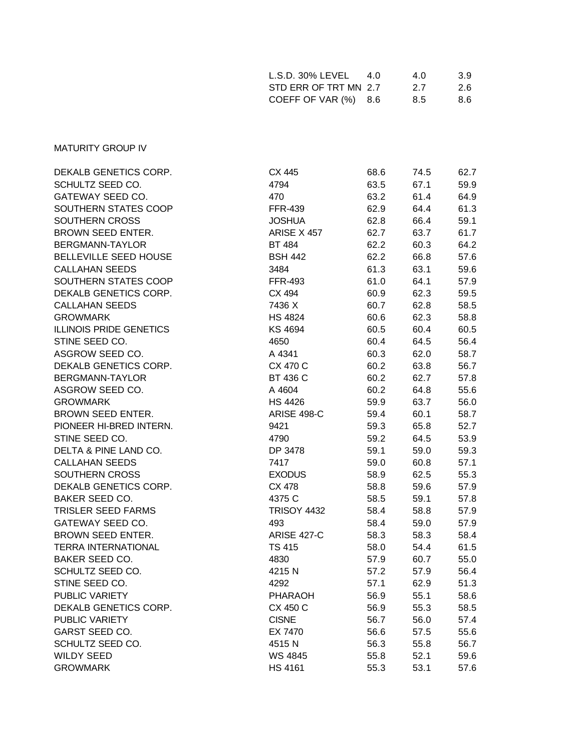| $L.S.D. 30\% LEVEL$   | 4.0 | 4.0 | 3.9 |
|-----------------------|-----|-----|-----|
| STD ERR OF TRT MN 2.7 |     | 27  | 2.6 |
| COEFF OF VAR (%) 8.6  |     | 8.5 | 8.6 |

## MATURITY GROUP IV

| DEKALB GENETICS CORP.          | CX 445             | 68.6 | 74.5 | 62.7 |
|--------------------------------|--------------------|------|------|------|
| SCHULTZ SEED CO.               | 4794               | 63.5 | 67.1 | 59.9 |
| GATEWAY SEED CO.               | 470                | 63.2 | 61.4 | 64.9 |
| SOUTHERN STATES COOP           | <b>FFR-439</b>     | 62.9 | 64.4 | 61.3 |
| SOUTHERN CROSS                 | <b>JOSHUA</b>      | 62.8 | 66.4 | 59.1 |
| <b>BROWN SEED ENTER.</b>       | ARISE X 457        | 62.7 | 63.7 | 61.7 |
| BERGMANN-TAYLOR                | <b>BT 484</b>      | 62.2 | 60.3 | 64.2 |
| BELLEVILLE SEED HOUSE          | <b>BSH 442</b>     | 62.2 | 66.8 | 57.6 |
| <b>CALLAHAN SEEDS</b>          | 3484               | 61.3 | 63.1 | 59.6 |
| SOUTHERN STATES COOP           | <b>FFR-493</b>     | 61.0 | 64.1 | 57.9 |
| DEKALB GENETICS CORP.          | CX 494             | 60.9 | 62.3 | 59.5 |
| <b>CALLAHAN SEEDS</b>          | 7436 X             | 60.7 | 62.8 | 58.5 |
| <b>GROWMARK</b>                | <b>HS 4824</b>     | 60.6 | 62.3 | 58.8 |
| <b>ILLINOIS PRIDE GENETICS</b> | <b>KS 4694</b>     | 60.5 | 60.4 | 60.5 |
| STINE SEED CO.                 | 4650               | 60.4 | 64.5 | 56.4 |
| ASGROW SEED CO.                | A 4341             | 60.3 | 62.0 | 58.7 |
| DEKALB GENETICS CORP.          | CX 470 C           | 60.2 | 63.8 | 56.7 |
| BERGMANN-TAYLOR                | BT 436 C           | 60.2 | 62.7 | 57.8 |
| ASGROW SEED CO.                | A 4604             | 60.2 | 64.8 | 55.6 |
| <b>GROWMARK</b>                | <b>HS 4426</b>     | 59.9 | 63.7 | 56.0 |
| <b>BROWN SEED ENTER.</b>       | ARISE 498-C        | 59.4 | 60.1 | 58.7 |
| PIONEER HI-BRED INTERN.        | 9421               | 59.3 | 65.8 | 52.7 |
| STINE SEED CO.                 | 4790               | 59.2 | 64.5 | 53.9 |
| DELTA & PINE LAND CO.          | DP 3478            | 59.1 | 59.0 | 59.3 |
| <b>CALLAHAN SEEDS</b>          | 7417               | 59.0 | 60.8 | 57.1 |
| SOUTHERN CROSS                 | <b>EXODUS</b>      | 58.9 | 62.5 | 55.3 |
| DEKALB GENETICS CORP.          | CX 478             | 58.8 | 59.6 | 57.9 |
| <b>BAKER SEED CO.</b>          | 4375 C             | 58.5 | 59.1 | 57.8 |
| <b>TRISLER SEED FARMS</b>      | <b>TRISOY 4432</b> | 58.4 | 58.8 | 57.9 |
| GATEWAY SEED CO.               | 493                | 58.4 | 59.0 | 57.9 |
| BROWN SEED ENTER.              | <b>ARISE 427-C</b> | 58.3 | 58.3 | 58.4 |
| <b>TERRA INTERNATIONAL</b>     | <b>TS 415</b>      | 58.0 | 54.4 | 61.5 |
| <b>BAKER SEED CO.</b>          | 4830               | 57.9 | 60.7 | 55.0 |
| SCHULTZ SEED CO.               | 4215N              | 57.2 | 57.9 | 56.4 |
| STINE SEED CO.                 | 4292               | 57.1 | 62.9 | 51.3 |
| PUBLIC VARIETY                 | <b>PHARAOH</b>     | 56.9 | 55.1 | 58.6 |
| DEKALB GENETICS CORP.          | CX 450 C           | 56.9 | 55.3 | 58.5 |
| PUBLIC VARIETY                 | <b>CISNE</b>       | 56.7 | 56.0 | 57.4 |
| <b>GARST SEED CO.</b>          | EX 7470            | 56.6 | 57.5 | 55.6 |
| SCHULTZ SEED CO.               | 4515N              | 56.3 | 55.8 | 56.7 |
| <b>WILDY SEED</b>              | <b>WS 4845</b>     | 55.8 | 52.1 | 59.6 |
| <b>GROWMARK</b>                | <b>HS 4161</b>     | 55.3 | 53.1 | 57.6 |
|                                |                    |      |      |      |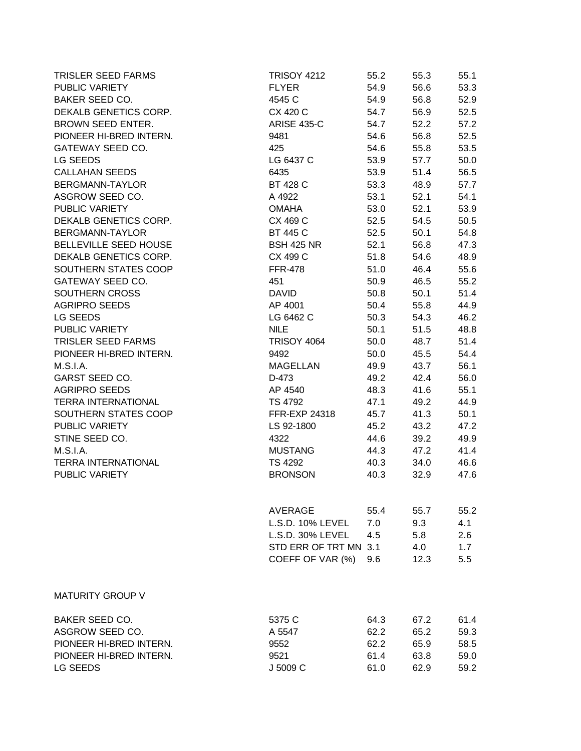| <b>TRISLER SEED FARMS</b>  | <b>TRISOY 4212</b>    | 55.2 | 55.3 | 55.1 |
|----------------------------|-----------------------|------|------|------|
| PUBLIC VARIETY             | <b>FLYER</b>          | 54.9 | 56.6 | 53.3 |
| BAKER SEED CO.             | 4545 C                | 54.9 | 56.8 | 52.9 |
| DEKALB GENETICS CORP.      | CX 420 C              | 54.7 | 56.9 | 52.5 |
| BROWN SEED ENTER.          | <b>ARISE 435-C</b>    | 54.7 | 52.2 | 57.2 |
| PIONEER HI-BRED INTERN.    | 9481                  | 54.6 | 56.8 | 52.5 |
| GATEWAY SEED CO.           | 425                   | 54.6 | 55.8 | 53.5 |
| LG SEEDS                   | LG 6437 C             | 53.9 | 57.7 | 50.0 |
| <b>CALLAHAN SEEDS</b>      | 6435                  | 53.9 | 51.4 | 56.5 |
| BERGMANN-TAYLOR            | BT 428 C              | 53.3 | 48.9 | 57.7 |
| ASGROW SEED CO.            | A 4922                | 53.1 | 52.1 | 54.1 |
| PUBLIC VARIETY             | <b>OMAHA</b>          | 53.0 | 52.1 | 53.9 |
| DEKALB GENETICS CORP.      | CX 469 C              | 52.5 | 54.5 | 50.5 |
| BERGMANN-TAYLOR            | BT 445 C              | 52.5 | 50.1 | 54.8 |
| BELLEVILLE SEED HOUSE      | <b>BSH 425 NR</b>     | 52.1 | 56.8 | 47.3 |
| DEKALB GENETICS CORP.      | CX 499 C              | 51.8 | 54.6 | 48.9 |
| SOUTHERN STATES COOP       | <b>FFR-478</b>        | 51.0 | 46.4 | 55.6 |
| GATEWAY SEED CO.           | 451                   | 50.9 | 46.5 | 55.2 |
| SOUTHERN CROSS             | <b>DAVID</b>          | 50.8 | 50.1 | 51.4 |
| <b>AGRIPRO SEEDS</b>       | AP 4001               | 50.4 | 55.8 | 44.9 |
| LG SEEDS                   | LG 6462 C             | 50.3 | 54.3 | 46.2 |
| PUBLIC VARIETY             | <b>NILE</b>           | 50.1 | 51.5 | 48.8 |
| <b>TRISLER SEED FARMS</b>  | <b>TRISOY 4064</b>    | 50.0 | 48.7 | 51.4 |
| PIONEER HI-BRED INTERN.    | 9492                  | 50.0 | 45.5 | 54.4 |
| <b>M.S.I.A.</b>            | <b>MAGELLAN</b>       | 49.9 | 43.7 | 56.1 |
| <b>GARST SEED CO.</b>      | D-473                 | 49.2 | 42.4 | 56.0 |
| <b>AGRIPRO SEEDS</b>       | AP 4540               | 48.3 | 41.6 | 55.1 |
| <b>TERRA INTERNATIONAL</b> | TS 4792               | 47.1 | 49.2 | 44.9 |
| SOUTHERN STATES COOP       | FFR-EXP 24318         | 45.7 | 41.3 | 50.1 |
| PUBLIC VARIETY             | LS 92-1800            | 45.2 | 43.2 | 47.2 |
| STINE SEED CO.             | 4322                  | 44.6 | 39.2 | 49.9 |
| <b>M.S.I.A.</b>            | <b>MUSTANG</b>        | 44.3 | 47.2 | 41.4 |
| <b>TERRA INTERNATIONAL</b> | TS 4292               | 40.3 | 34.0 | 46.6 |
| PUBLIC VARIETY             | <b>BRONSON</b>        | 40.3 | 32.9 | 47.6 |
|                            | AVERAGE               | 55.4 | 55.7 | 55.2 |
|                            | L.S.D. 10% LEVEL      | 7.0  | 9.3  | 4.1  |
|                            | L.S.D. 30% LEVEL      | 4.5  | 5.8  | 2.6  |
|                            | STD ERR OF TRT MN 3.1 |      | 4.0  | 1.7  |
|                            | COEFF OF VAR (%)      | 9.6  | 12.3 | 5.5  |
| <b>MATURITY GROUP V</b>    |                       |      |      |      |
| <b>BAKER SEED CO.</b>      | 5375 C                | 64.3 | 67.2 | 61.4 |
| ASGROW SEED CO.            | A 5547                | 62.2 | 65.2 | 59.3 |
| PIONEER HI-BRED INTERN.    | 9552                  | 62.2 | 65.9 | 58.5 |
| PIONEER HI-BRED INTERN.    | 9521                  | 61.4 | 63.8 | 59.0 |
| LG SEEDS                   | J 5009 C              | 61.0 | 62.9 | 59.2 |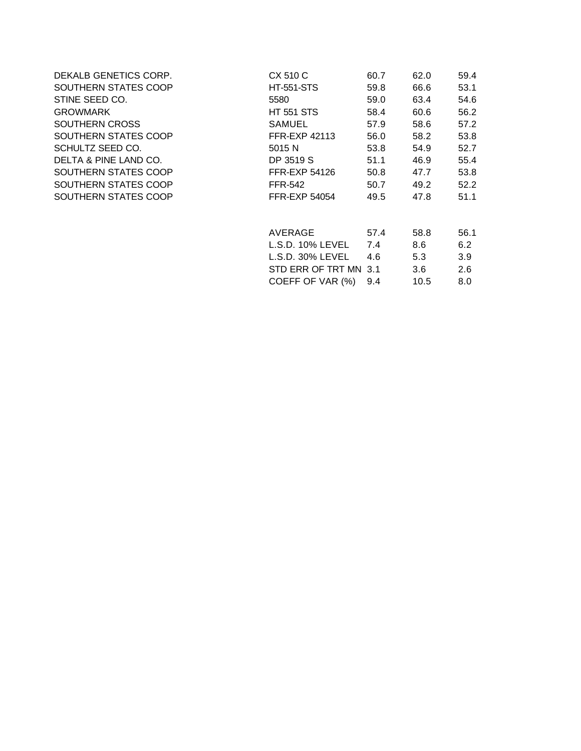| DEKALB GENETICS CORP. | CX 510 C              | 60.7 | 62.0 | 59.4 |
|-----------------------|-----------------------|------|------|------|
| SOUTHERN STATES COOP  | <b>HT-551-STS</b>     | 59.8 | 66.6 | 53.1 |
| STINE SEED CO.        | 5580                  | 59.0 | 63.4 | 54.6 |
| <b>GROWMARK</b>       | <b>HT 551 STS</b>     | 58.4 | 60.6 | 56.2 |
| SOUTHERN CROSS        | <b>SAMUEL</b>         | 57.9 | 58.6 | 57.2 |
| SOUTHERN STATES COOP  | <b>FFR-EXP 42113</b>  | 56.0 | 58.2 | 53.8 |
| SCHULTZ SEED CO.      | 5015 N                | 53.8 | 54.9 | 52.7 |
| DELTA & PINE LAND CO. | DP 3519 S             | 51.1 | 46.9 | 55.4 |
| SOUTHERN STATES COOP  | <b>FFR-EXP 54126</b>  | 50.8 | 47.7 | 53.8 |
| SOUTHERN STATES COOP  | <b>FFR-542</b>        | 50.7 | 49.2 | 52.2 |
| SOUTHERN STATES COOP  | <b>FFR-EXP 54054</b>  | 49.5 | 47.8 | 51.1 |
|                       | AVERAGE               | 57.4 | 58.8 | 56.1 |
|                       | L.S.D. 10% LEVEL      | 7.4  | 8.6  | 6.2  |
|                       | L.S.D. 30% LEVEL      | 4.6  | 5.3  | 3.9  |
|                       | STD ERR OF TRT MN 3.1 |      | 3.6  | 2.6  |
|                       | COEFF OF VAR (%)      | 9.4  | 10.5 | 8.0  |
|                       |                       |      |      |      |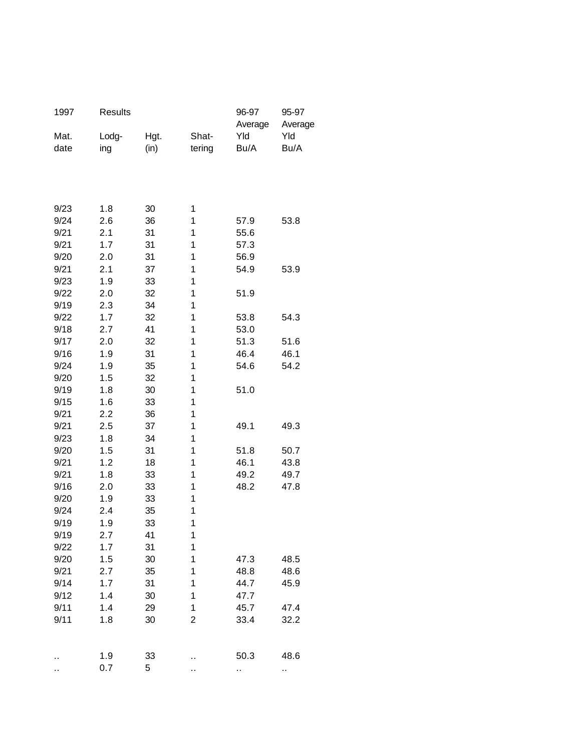| 1997         | Results    |          |                | 96-97<br>Average | 95-97<br>Average |
|--------------|------------|----------|----------------|------------------|------------------|
| Mat.         | Lodg-      | Hgt.     | Shat-          | Yld              | Yld              |
| date         | ing        | (in)     | tering         | Bu/A             | Bu/A             |
|              |            |          |                |                  |                  |
|              |            |          |                |                  |                  |
| 9/23         | 1.8        | 30       | 1              |                  |                  |
| 9/24         | 2.6        | 36       | 1              | 57.9             | 53.8             |
| 9/21         | 2.1        | 31       | 1              | 55.6             |                  |
| 9/21         | 1.7        | 31       | 1              | 57.3             |                  |
| 9/20         | 2.0        | 31       | 1              | 56.9             |                  |
| 9/21         | 2.1        | 37       | 1              | 54.9             | 53.9             |
| 9/23         | 1.9        | 33       | 1              |                  |                  |
| 9/22         | 2.0        | 32       | 1              | 51.9             |                  |
| 9/19         | 2.3        | 34       | 1              |                  |                  |
| 9/22         | 1.7        | 32       | 1              | 53.8             | 54.3             |
| 9/18         | 2.7        | 41       | 1              | 53.0             |                  |
| 9/17         | 2.0        | 32       | 1              | 51.3             | 51.6             |
| 9/16         | 1.9        | 31       | 1              | 46.4             | 46.1             |
| 9/24         | 1.9        | 35       | 1              | 54.6             | 54.2             |
| 9/20         | 1.5        | 32       | 1              |                  |                  |
| 9/19         | 1.8        | 30       | 1              | 51.0             |                  |
| 9/15         | 1.6        | 33       | 1              |                  |                  |
| 9/21         | 2.2        | 36       | 1              |                  |                  |
| 9/21         | 2.5        | 37       | 1              | 49.1             | 49.3             |
| 9/23<br>9/20 | 1.8<br>1.5 | 34<br>31 | 1<br>1         | 51.8             | 50.7             |
| 9/21         | 1.2        | 18       | 1              | 46.1             | 43.8             |
| 9/21         | 1.8        | 33       | 1              | 49.2             | 49.7             |
| 9/16         | 2.0        | 33       | 1              | 48.2             | 47.8             |
| 9/20         | 1.9        | 33       | 1              |                  |                  |
| 9/24         | 2.4        | 35       | 1              |                  |                  |
| 9/19         | 1.9        | 33       | 1              |                  |                  |
| 9/19         | 2.7        | 41       | 1              |                  |                  |
| 9/22         | 1.7        | 31       | 1              |                  |                  |
| 9/20         | 1.5        | 30       | 1              | 47.3             | 48.5             |
| 9/21         | 2.7        | 35       | 1              | 48.8             | 48.6             |
| 9/14         | 1.7        | 31       | 1              | 44.7             | 45.9             |
| 9/12         | 1.4        | 30       | 1              | 47.7             |                  |
| 9/11         | 1.4        | 29       | 1              | 45.7             | 47.4             |
| 9/11         | 1.8        | 30       | $\overline{c}$ | 33.4             | 32.2             |
|              |            |          |                |                  |                  |
|              | 1.9        | 33       |                | 50.3             | 48.6             |
| ٠.           | 0.7        | 5        | .,             | .,               | н,               |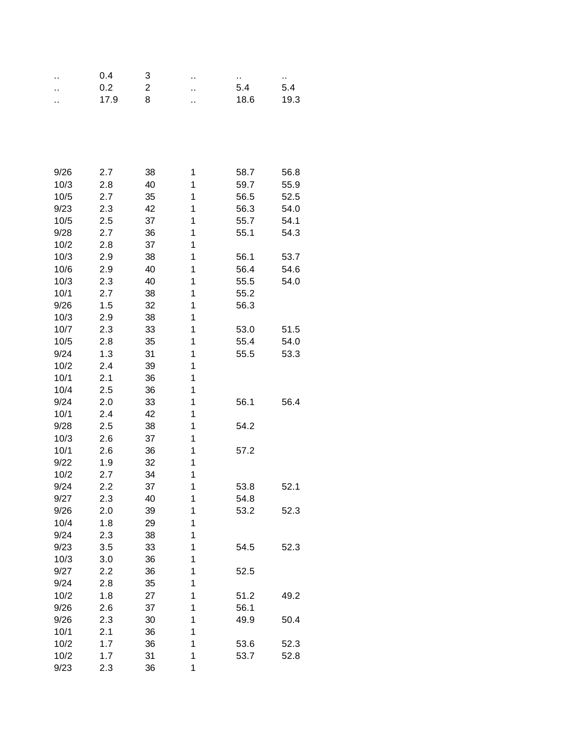| ٠.   | 0.4  | 3  | ٠. | .,   | .,   |
|------|------|----|----|------|------|
| ٠.   | 0.2  | 2  | ٠. | 5.4  | 5.4  |
|      | 17.9 | 8  | ٠. | 18.6 | 19.3 |
|      |      |    |    |      |      |
|      |      |    |    |      |      |
|      |      |    |    |      |      |
|      |      |    |    |      |      |
|      |      |    |    |      |      |
| 9/26 | 2.7  | 38 | 1  | 58.7 | 56.8 |
| 10/3 | 2.8  | 40 | 1  | 59.7 | 55.9 |
| 10/5 | 2.7  | 35 | 1  | 56.5 | 52.5 |
| 9/23 | 2.3  | 42 | 1  | 56.3 | 54.0 |
| 10/5 | 2.5  | 37 | 1  | 55.7 | 54.1 |
| 9/28 | 2.7  | 36 | 1  | 55.1 | 54.3 |
| 10/2 | 2.8  | 37 | 1  |      |      |
| 10/3 | 2.9  | 38 | 1  | 56.1 | 53.7 |
| 10/6 | 2.9  | 40 | 1  | 56.4 | 54.6 |
| 10/3 | 2.3  | 40 | 1  | 55.5 | 54.0 |
| 10/1 | 2.7  | 38 | 1  | 55.2 |      |
| 9/26 | 1.5  | 32 | 1  | 56.3 |      |
| 10/3 | 2.9  | 38 | 1  |      |      |
| 10/7 | 2.3  | 33 | 1  | 53.0 | 51.5 |
| 10/5 | 2.8  | 35 | 1  | 55.4 | 54.0 |
| 9/24 | 1.3  | 31 | 1  | 55.5 | 53.3 |
| 10/2 | 2.4  | 39 | 1  |      |      |
| 10/1 | 2.1  | 36 | 1  |      |      |
| 10/4 | 2.5  | 36 | 1  |      |      |
| 9/24 | 2.0  | 33 | 1  | 56.1 | 56.4 |
| 10/1 | 2.4  | 42 | 1  |      |      |
| 9/28 | 2.5  | 38 | 1  | 54.2 |      |
| 10/3 | 2.6  | 37 | 1  |      |      |
| 10/1 | 2.6  | 36 | 1  | 57.2 |      |
| 9/22 | 1.9  | 32 | 1  |      |      |
| 10/2 | 2.7  | 34 | 1  |      |      |
| 9/24 | 2.2  | 37 | 1  | 53.8 | 52.1 |
| 9/27 | 2.3  | 40 | 1  | 54.8 |      |
| 9/26 | 2.0  | 39 | 1  | 53.2 | 52.3 |
| 10/4 | 1.8  | 29 | 1  |      |      |
| 9/24 | 2.3  | 38 | 1  |      |      |
| 9/23 | 3.5  | 33 | 1  | 54.5 | 52.3 |
| 10/3 | 3.0  | 36 | 1  |      |      |
| 9/27 | 2.2  | 36 | 1  | 52.5 |      |
| 9/24 | 2.8  | 35 | 1  |      |      |
| 10/2 | 1.8  | 27 | 1  | 51.2 | 49.2 |
| 9/26 | 2.6  | 37 | 1  | 56.1 |      |
| 9/26 | 2.3  | 30 | 1  | 49.9 | 50.4 |
| 10/1 | 2.1  | 36 | 1  |      |      |
| 10/2 | 1.7  | 36 | 1  | 53.6 | 52.3 |
| 10/2 | 1.7  | 31 | 1  | 53.7 | 52.8 |
| 9/23 | 2.3  |    | 1  |      |      |
|      |      | 36 |    |      |      |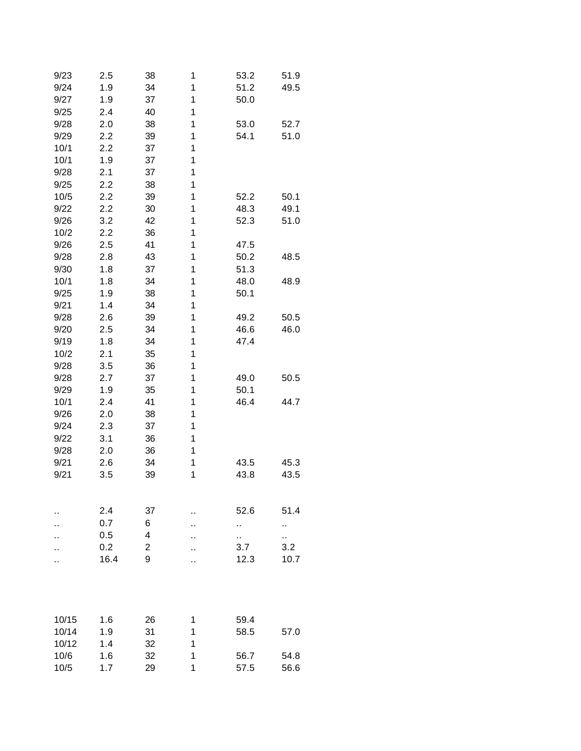| 9/23  | 2.5  | 38             | 1  | 53.2 | 51.9 |
|-------|------|----------------|----|------|------|
| 9/24  | 1.9  | 34             | 1  | 51.2 | 49.5 |
| 9/27  | 1.9  | 37             | 1  | 50.0 |      |
| 9/25  | 2.4  | 40             | 1  |      |      |
| 9/28  | 2.0  | 38             | 1  | 53.0 | 52.7 |
| 9/29  | 2.2  | 39             | 1  | 54.1 | 51.0 |
| 10/1  | 2.2  | 37             | 1  |      |      |
| 10/1  | 1.9  | 37             | 1  |      |      |
| 9/28  | 2.1  | 37             | 1  |      |      |
| 9/25  | 2.2  | 38             | 1  |      |      |
| 10/5  | 2.2  | 39             | 1  | 52.2 | 50.1 |
| 9/22  | 2.2  | 30             | 1  | 48.3 | 49.1 |
| 9/26  | 3.2  | 42             | 1  | 52.3 | 51.0 |
| 10/2  | 2.2  | 36             | 1  |      |      |
| 9/26  | 2.5  | 41             | 1  | 47.5 |      |
| 9/28  | 2.8  | 43             | 1  | 50.2 | 48.5 |
| 9/30  | 1.8  | 37             | 1  | 51.3 |      |
| 10/1  | 1.8  | 34             | 1  | 48.0 | 48.9 |
| 9/25  | 1.9  | 38             | 1  | 50.1 |      |
| 9/21  | 1.4  | 34             | 1  |      |      |
|       |      |                | 1  | 49.2 |      |
| 9/28  | 2.6  | 39             |    |      | 50.5 |
| 9/20  | 2.5  | 34             | 1  | 46.6 | 46.0 |
| 9/19  | 1.8  | 34             | 1  | 47.4 |      |
| 10/2  | 2.1  | 35             | 1  |      |      |
| 9/28  | 3.5  | 36             | 1  |      |      |
| 9/28  | 2.7  | 37             | 1  | 49.0 | 50.5 |
| 9/29  | 1.9  | 35             | 1  | 50.1 |      |
| 10/1  | 2.4  | 41             | 1  | 46.4 | 44.7 |
| 9/26  | 2.0  | 38             | 1  |      |      |
| 9/24  | 2.3  | 37             | 1  |      |      |
| 9/22  | 3.1  | 36             | 1  |      |      |
| 9/28  | 2.0  | 36             | 1  |      |      |
| 9/21  | 2.6  | 34             | 1  | 43.5 | 45.3 |
| 9/21  | 3.5  | 39             | 1  | 43.8 | 43.5 |
|       |      |                |    |      |      |
|       |      |                |    |      |      |
|       | 2.4  | 37             | ٠. | 52.6 | 51.4 |
|       | 0.7  | 6              |    | Ω,   |      |
|       | 0.5  | 4              |    | Ω,   | .,   |
|       | 0.2  | $\overline{2}$ |    | 3.7  | 3.2  |
|       | 16.4 | 9              |    | 12.3 | 10.7 |
|       |      |                |    |      |      |
|       |      |                |    |      |      |
|       |      |                |    |      |      |
|       |      |                |    |      |      |
| 10/15 | 1.6  | 26             | 1  | 59.4 |      |
| 10/14 | 1.9  | 31             | 1  | 58.5 | 57.0 |
| 10/12 | 1.4  | 32             | 1  |      |      |
| 10/6  | 1.6  | 32             | 1  | 56.7 | 54.8 |
| 10/5  | 1.7  | 29             | 1  | 57.5 | 56.6 |